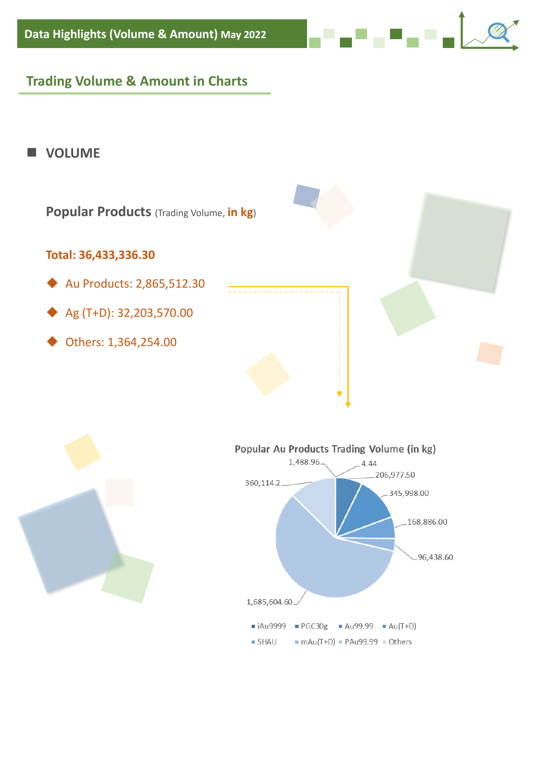## **Trading Volume & Amount in Charts**

#### ■ **VOLUME**







. . . . .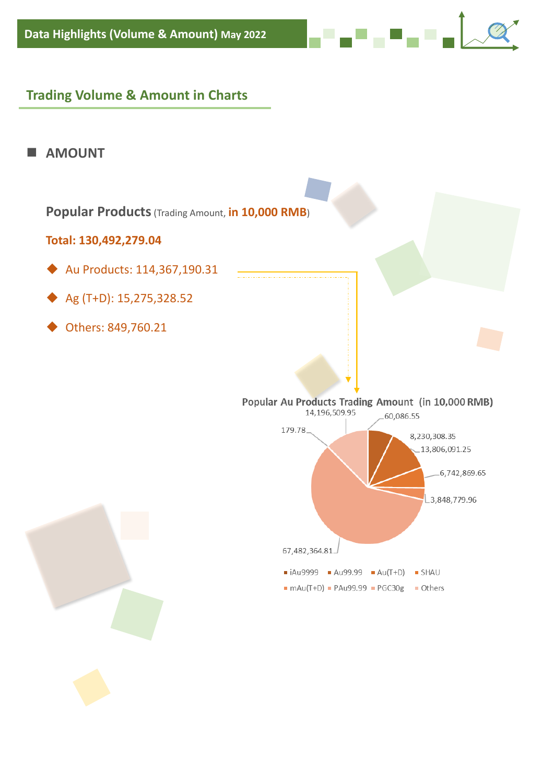### **Trading Volume & Amount in Charts**





والموالي الموارد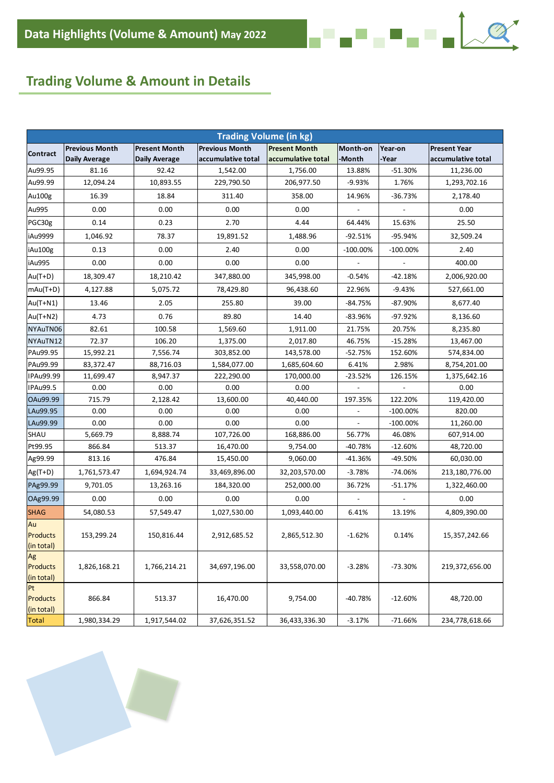## **Trading Volume & Amount in Details**

| <b>Trading Volume (in kg)</b> |                       |                      |                       |                      |                          |                          |                     |
|-------------------------------|-----------------------|----------------------|-----------------------|----------------------|--------------------------|--------------------------|---------------------|
|                               | <b>Previous Month</b> | <b>Present Month</b> | <b>Previous Month</b> | <b>Present Month</b> | Month-on                 | Year-on                  | <b>Present Year</b> |
| Contract                      | <b>Daily Average</b>  | <b>Daily Average</b> | accumulative total    | accumulative total   | -Month                   | -Year                    | accumulative total  |
| Au99.95                       | 81.16                 | 92.42                | 1,542.00              | 1,756.00             | 13.88%                   | $-51.30%$                | 11,236.00           |
| Au99.99                       | 12,094.24             | 10,893.55            | 229,790.50            | 206,977.50           | $-9.93%$                 | 1.76%                    | 1,293,702.16        |
| Au100g                        | 16.39                 | 18.84                | 311.40                | 358.00               | 14.96%                   | $-36.73%$                | 2,178.40            |
| Au995                         | 0.00                  | 0.00                 | 0.00                  | 0.00                 |                          |                          | 0.00                |
| PGC30g                        | 0.14                  | 0.23                 | 2.70                  | 4.44                 | 64.44%                   | 15.63%                   | 25.50               |
| iAu9999                       | 1,046.92              | 78.37                | 19,891.52             | 1,488.96             | $-92.51%$                | -95.94%                  | 32,509.24           |
| iAu100g                       | 0.13                  | 0.00                 | 2.40                  | 0.00                 | $-100.00\%$              | $-100.00\%$              | 2.40                |
| iAu995                        | 0.00                  | 0.00                 | 0.00                  | 0.00                 | $\overline{\phantom{a}}$ | $\overline{\phantom{a}}$ | 400.00              |
| Au(T+D)                       | 18,309.47             | 18,210.42            | 347,880.00            | 345,998.00           | $-0.54%$                 | $-42.18%$                | 2,006,920.00        |
| $mAu(T+D)$                    | 4,127.88              | 5,075.72             | 78,429.80             | 96,438.60            | 22.96%                   | $-9.43%$                 | 527,661.00          |
| Au(T+N1)                      | 13.46                 | 2.05                 | 255.80                | 39.00                | -84.75%                  | $-87.90%$                | 8,677.40            |
| $Au(T+N2)$                    | 4.73                  | 0.76                 | 89.80                 | 14.40                | -83.96%                  | -97.92%                  | 8,136.60            |
| NYAuTN06                      | 82.61                 | 100.58               | 1,569.60              | 1,911.00             | 21.75%                   | 20.75%                   | 8,235.80            |
| NYAuTN12                      | 72.37                 | 106.20               | 1,375.00              | 2,017.80             | 46.75%                   | $-15.28%$                | 13,467.00           |
| PAu99.95                      | 15,992.21             | 7,556.74             | 303,852.00            | 143,578.00           | $-52.75%$                | 152.60%                  | 574,834.00          |
| PAu99.99                      | 83,372.47             | 88,716.03            | 1,584,077.00          | 1,685,604.60         | 6.41%                    | 2.98%                    | 8,754,201.00        |
| IPAu99.99                     | 11,699.47             | 8,947.37             | 222,290.00            | 170,000.00           | $-23.52%$                | 126.15%                  | 1,375,642.16        |
| IPAu99.5                      | 0.00                  | 0.00                 | 0.00                  | 0.00                 |                          |                          | 0.00                |
| OAu99.99                      | 715.79                | 2,128.42             | 13,600.00             | 40,440.00            | 197.35%                  | 122.20%                  | 119,420.00          |
| LAu99.95                      | 0.00                  | 0.00                 | 0.00                  | 0.00                 |                          | $-100.00\%$              | 820.00              |
| LAu99.99                      | 0.00                  | 0.00                 | 0.00                  | 0.00                 |                          | $-100.00\%$              | 11,260.00           |
| SHAU                          | 5,669.79              | 8,888.74             | 107,726.00            | 168,886.00           | 56.77%                   | 46.08%                   | 607,914.00          |
| Pt99.95                       | 866.84                | 513.37               | 16,470.00             | 9,754.00             | -40.78%                  | $-12.60%$                | 48,720.00           |
| Ag99.99                       | 813.16                | 476.84               | 15,450.00             | 9,060.00             | $-41.36%$                | $-49.50%$                | 60,030.00           |
| $Ag(T+D)$                     | 1,761,573.47          | 1,694,924.74         | 33,469,896.00         | 32,203,570.00        | $-3.78%$                 | $-74.06%$                | 213,180,776.00      |
| PAg99.99                      | 9,701.05              | 13,263.16            | 184,320.00            | 252,000.00           | 36.72%                   | $-51.17%$                | 1,322,460.00        |
| OAg99.99                      | 0.00                  | 0.00                 | 0.00                  | 0.00                 |                          |                          | 0.00                |
| <b>SHAG</b>                   | 54,080.53             | 57,549.47            | 1,027,530.00          | 1,093,440.00         | 6.41%                    | 13.19%                   | 4,809,390.00        |
| Au                            |                       |                      |                       |                      |                          |                          |                     |
| Products                      | 153,299.24            | 150,816.44           | 2,912,685.52          | 2,865,512.30         | $-1.62%$                 | 0.14%                    | 15,357,242.66       |
| (in total)                    |                       |                      |                       |                      |                          |                          |                     |
| Ag                            |                       |                      |                       | 33,558,070.00        |                          |                          |                     |
| Products<br>(in total)        | 1,826,168.21          | 1,766,214.21         | 34,697,196.00         |                      | $-3.28%$                 | $-73.30%$                | 219,372,656.00      |
| Pt                            |                       |                      |                       |                      |                          |                          |                     |
| Products                      | 866.84                | 513.37               | 16,470.00             | 9,754.00             | -40.78%                  | $-12.60%$                | 48,720.00           |
| (in total)                    |                       |                      |                       |                      |                          |                          |                     |
| <b>Total</b>                  | 1,980,334.29          | 1,917,544.02         | 37,626,351.52         | 36,433,336.30        | $-3.17%$                 | $-71.66%$                | 234,778,618.66      |

<mark>▄▀▄▀▄▀▄▀▄</mark>▐▃

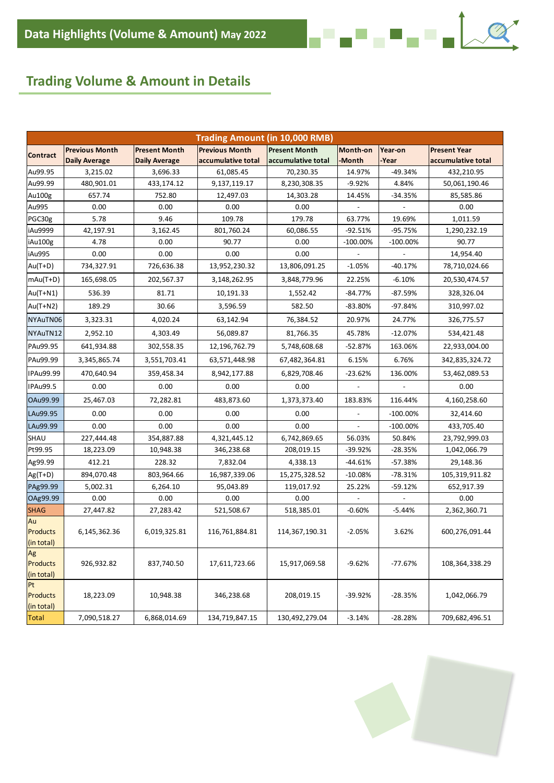# **Trading Volume & Amount in Details**

| <b>Trading Amount (in 10,000 RMB)</b> |                       |                      |                       |                      |             |             |                     |
|---------------------------------------|-----------------------|----------------------|-----------------------|----------------------|-------------|-------------|---------------------|
| <b>Contract</b>                       | <b>Previous Month</b> | <b>Present Month</b> | <b>Previous Month</b> | <b>Present Month</b> | Month-on    | Year-on     | <b>Present Year</b> |
|                                       | <b>Daily Average</b>  | <b>Daily Average</b> | accumulative total    | accumulative total   | -Month      | -Year       | accumulative total  |
| Au99.95                               | 3,215.02              | 3,696.33             | 61,085.45             | 70,230.35            | 14.97%      | $-49.34%$   | 432,210.95          |
| Au99.99                               | 480,901.01            | 433,174.12           | 9,137,119.17          | 8,230,308.35         | $-9.92%$    | 4.84%       | 50,061,190.46       |
| Au100g                                | 657.74                | 752.80               | 12,497.03             | 14,303.28            | 14.45%      | $-34.35%$   | 85,585.86           |
| Au995                                 | 0.00                  | 0.00                 | 0.00                  | 0.00                 |             |             | 0.00                |
| PGC30g                                | 5.78                  | 9.46                 | 109.78                | 179.78               | 63.77%      | 19.69%      | 1,011.59            |
| iAu9999                               | 42,197.91             | 3,162.45             | 801,760.24            | 60,086.55            | $-92.51%$   | -95.75%     | 1,290,232.19        |
| iAu100g                               | 4.78                  | 0.00                 | 90.77                 | 0.00                 | $-100.00\%$ | $-100.00\%$ | 90.77               |
| iAu995                                | 0.00                  | 0.00                 | 0.00                  | 0.00                 |             |             | 14,954.40           |
| Au(T+D)                               | 734,327.91            | 726,636.38           | 13,952,230.32         | 13,806,091.25        | $-1.05%$    | $-40.17%$   | 78,710,024.66       |
| $\text{mAu(T+D)}$                     | 165,698.05            | 202,567.37           | 3,148,262.95          | 3,848,779.96         | 22.25%      | $-6.10%$    | 20,530,474.57       |
| $Au(T+N1)$                            | 536.39                | 81.71                | 10,191.33             | 1,552.42             | -84.77%     | $-87.59%$   | 328,326.04          |
| $Au(T+N2)$                            | 189.29                | 30.66                | 3,596.59              | 582.50               | -83.80%     | -97.84%     | 310,997.02          |
| NYAuTN06                              | 3,323.31              | 4,020.24             | 63,142.94             | 76,384.52            | 20.97%      | 24.77%      | 326,775.57          |
| NYAuTN12                              | 2,952.10              | 4,303.49             | 56,089.87             | 81,766.35            | 45.78%      | $-12.07%$   | 534,421.48          |
| PAu99.95                              | 641,934.88            | 302,558.35           | 12,196,762.79         | 5,748,608.68         | -52.87%     | 163.06%     | 22,933,004.00       |
| PAu99.99                              | 3,345,865.74          | 3,551,703.41         | 63,571,448.98         | 67,482,364.81        | 6.15%       | 6.76%       | 342,835,324.72      |
| IPAu99.99                             | 470,640.94            | 359,458.34           | 8,942,177.88          | 6,829,708.46         | $-23.62%$   | 136.00%     | 53,462,089.53       |
| IPAu99.5                              | 0.00                  | 0.00                 | 0.00                  | 0.00                 |             |             | 0.00                |
| OAu99.99                              | 25,467.03             | 72,282.81            | 483,873.60            | 1,373,373.40         | 183.83%     | 116.44%     | 4,160,258.60        |
| LAu99.95                              | 0.00                  | 0.00                 | 0.00                  | 0.00                 |             | $-100.00\%$ | 32,414.60           |
| LAu99.99                              | 0.00                  | 0.00                 | 0.00                  | 0.00                 |             | $-100.00\%$ | 433,705.40          |
| SHAU                                  | 227,444.48            | 354,887.88           | 4,321,445.12          | 6,742,869.65         | 56.03%      | 50.84%      | 23,792,999.03       |
| Pt99.95                               | 18,223.09             | 10,948.38            | 346,238.68            | 208,019.15           | -39.92%     | $-28.35%$   | 1,042,066.79        |
| Ag99.99                               | 412.21                | 228.32               | 7,832.04              | 4,338.13             | -44.61%     | -57.38%     | 29,148.36           |
| Ag(T+D)                               | 894,070.48            | 803,964.66           | 16,987,339.06         | 15,275,328.52        | $-10.08%$   | $-78.31%$   | 105,319,911.82      |
| PAg99.99                              | 5,002.31              | 6,264.10             | 95,043.89             | 119,017.92           | 25.22%      | $-59.12%$   | 652,917.39          |
| OAg99.99                              | 0.00                  | 0.00                 | 0.00                  | 0.00                 |             |             | 0.00                |
| <b>SHAG</b>                           | 27,447.82             | 27,283.42            | 521,508.67            | 518,385.01           | $-0.60%$    | $-5.44%$    | 2,362,360.71        |
| Au                                    |                       |                      |                       |                      |             |             |                     |
| Products                              | 6, 145, 362. 36       | 6,019,325.81         | 116,761,884.81        | 114,367,190.31       | $-2.05%$    | 3.62%       | 600,276,091.44      |
| (in total)                            |                       |                      |                       |                      |             |             |                     |
| Ag                                    | 926,932.82            |                      |                       | 15,917,069.58        |             |             |                     |
| Products<br>(in total)                |                       | 837,740.50           | 17,611,723.66         |                      | $-9.62%$    | -77.67%     | 108,364,338.29      |
| Pt                                    |                       |                      |                       |                      |             |             |                     |
| <b>Products</b>                       | 18,223.09             | 10,948.38            | 346,238.68            | 208,019.15           | -39.92%     | $-28.35%$   | 1,042,066.79        |
| (in total)                            |                       |                      |                       |                      |             |             |                     |
| Total                                 | 7,090,518.27          | 6,868,014.69         | 134,719,847.15        | 130,492,279.04       | $-3.14%$    | $-28.28%$   | 709,682,496.51      |



<mark>▃▘▄▘</mark>▃▘▄▘▄<sup>▁</sup>▄▐▁